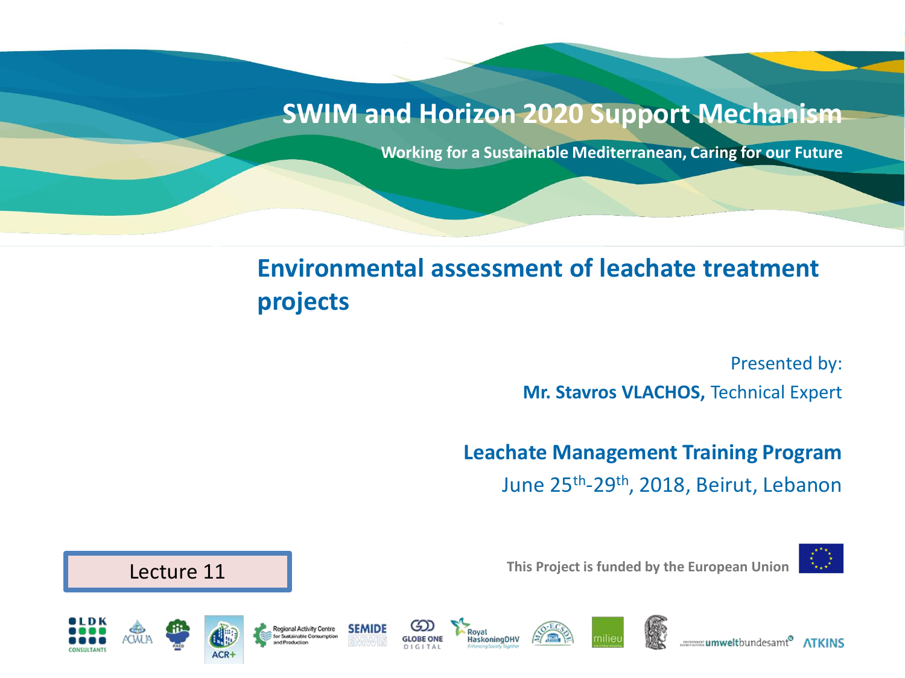#### **SWIM and Horizon 2020 Support Mechanism**

**Working for a Sustainable Mediterranean, Caring for our Future**

### **Environmental assessment of leachate treatment projects**

**laskoningDHV** 

Presented by: **Mr. Stavros VLACHOS,** Technical Expert

**Leachate Management Training Program**  June 25th -29th, 2018, Beirut, Lebanon



**This Project is funded by the European Union**



**Regional Activity Centre** 



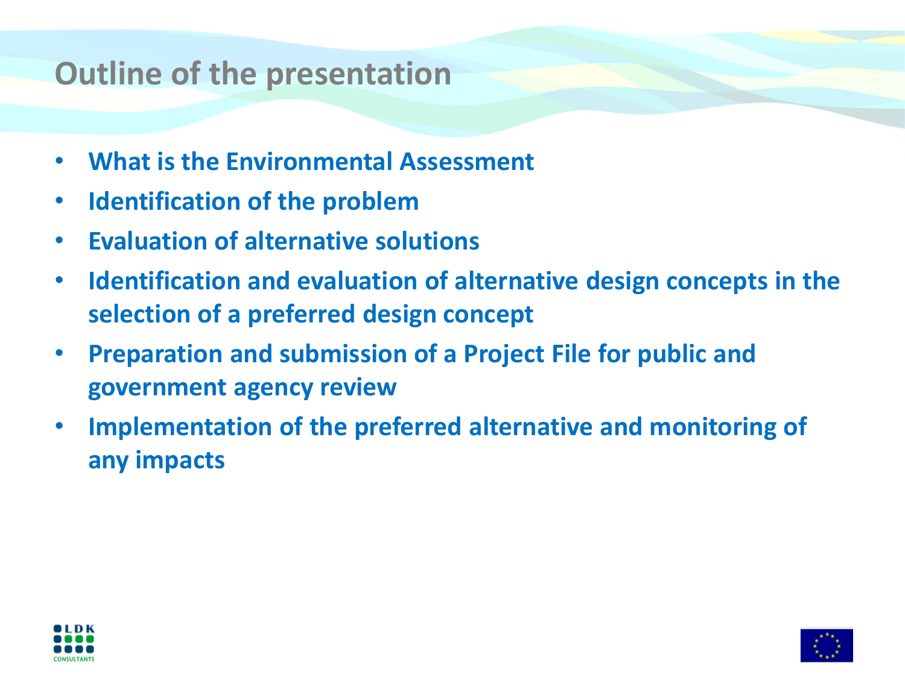## **Outline of the presentation**

- **What is the Environmental Assessment**
- **Identification of the problem**
- **Evaluation of alternative solutions**
- **Identification and evaluation of alternative design concepts in the selection of a preferred design concept**
- **Preparation and submission of a Project File for public and government agency review**
- **Implementation of the preferred alternative and monitoring of any impacts**



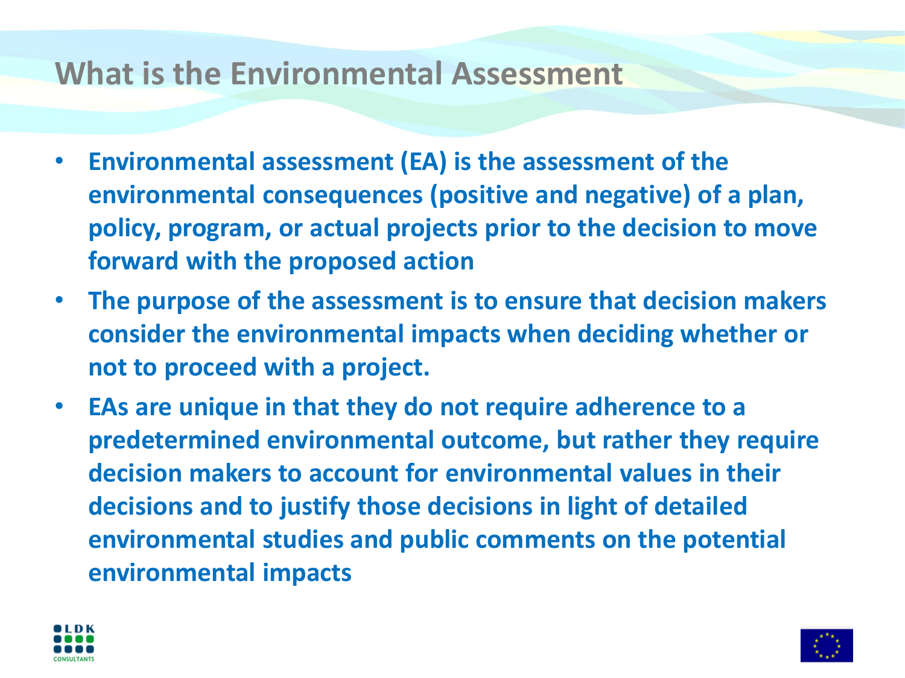### **What is the Environmental Assessment**

- **Environmental assessment (EA) is the assessment of the environmental consequences (positive and negative) of a plan, policy, program, or actual projects prior to the decision to move forward with the proposed action**
- **The purpose of the assessment is to ensure that decision makers consider the environmental impacts when deciding whether or not to proceed with a project.**
- **EAs are unique in that they do not require adherence to a predetermined environmental outcome, but rather they require decision makers to account for environmental values in their decisions and to justify those decisions in light of detailed environmental studies and public comments on the potential environmental impacts**



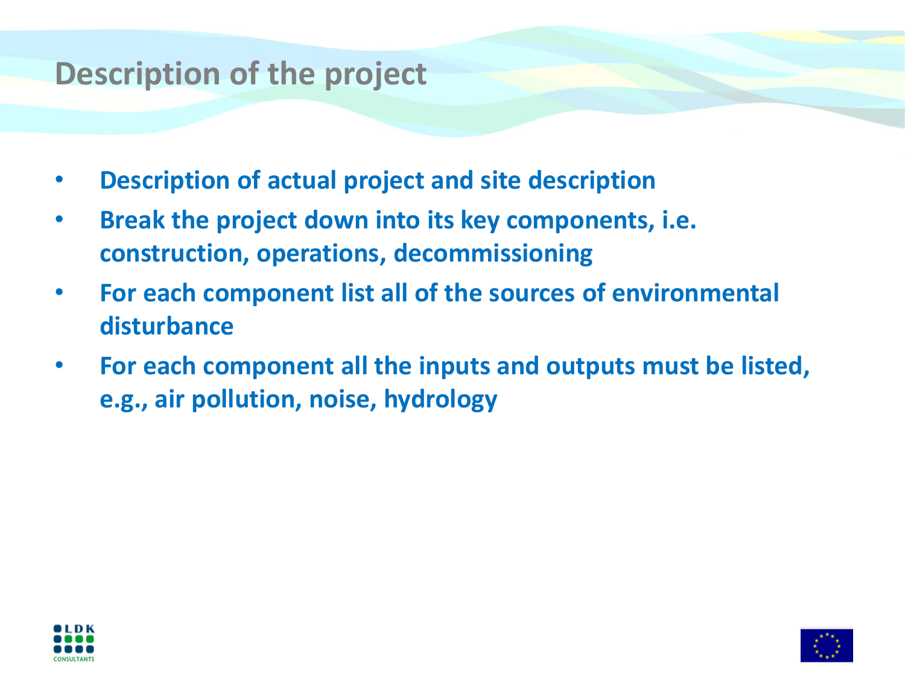### **Description of the project**

- **Description of actual project and site description**
- **Break the project down into its key components, i.e. construction, operations, decommissioning**
- **For each component list all of the sources of environmental disturbance**
- **For each component all the inputs and outputs must be listed, e.g., air pollution, noise, hydrology**



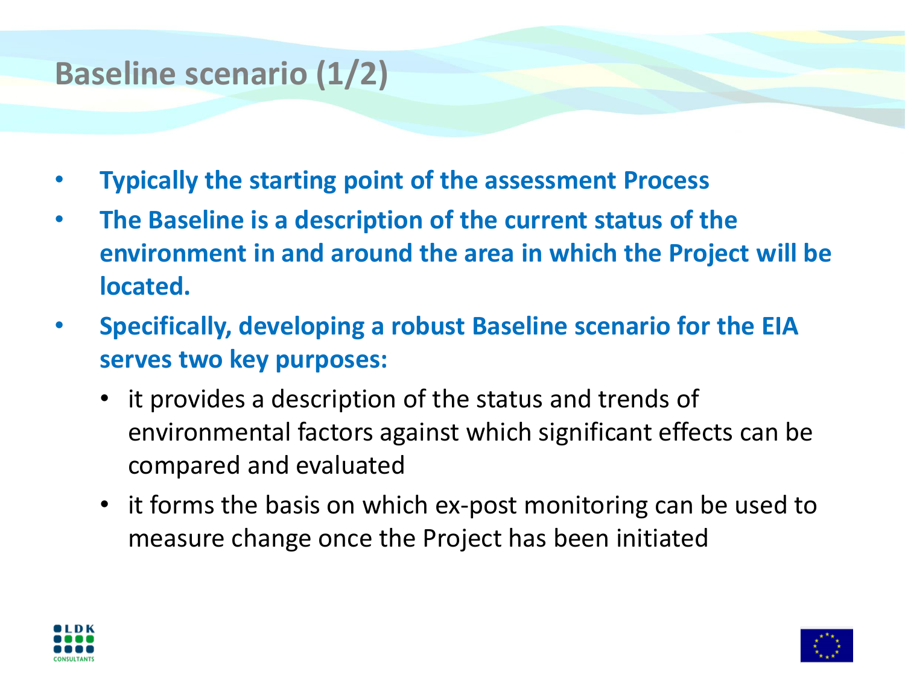## **Baseline scenario (1/2)**

- **Typically the starting point of the assessment Process**
- **The Baseline is a description of the current status of the environment in and around the area in which the Project will be located.**
- **Specifically, developing a robust Baseline scenario for the EIA serves two key purposes:**
	- it provides a description of the status and trends of environmental factors against which significant effects can be compared and evaluated
	- it forms the basis on which ex-post monitoring can be used to measure change once the Project has been initiated



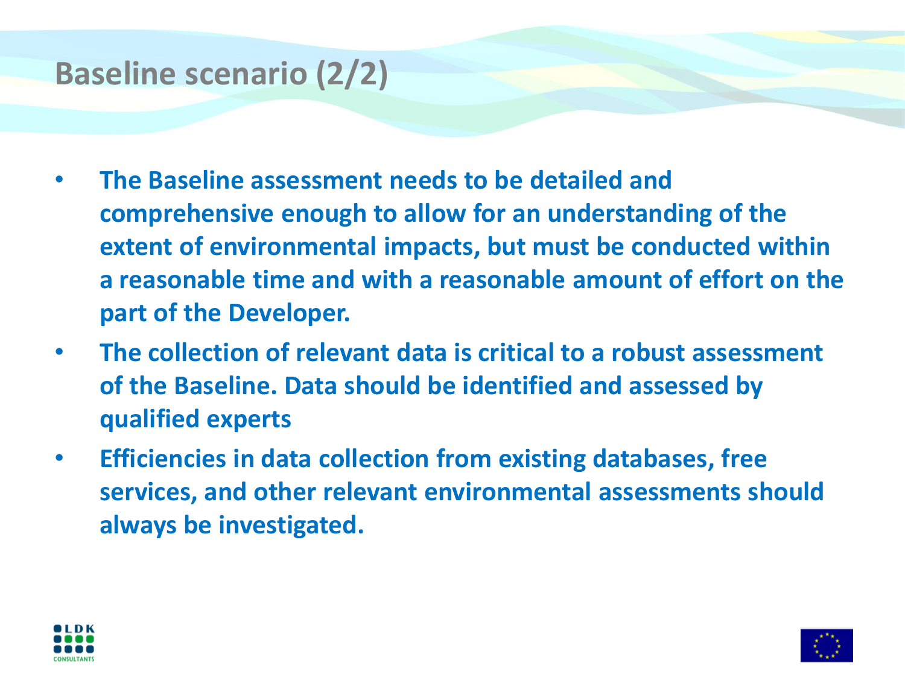## **Baseline scenario (2/2)**

- **The Baseline assessment needs to be detailed and comprehensive enough to allow for an understanding of the extent of environmental impacts, but must be conducted within a reasonable time and with a reasonable amount of effort on the part of the Developer.**
- **The collection of relevant data is critical to a robust assessment of the Baseline. Data should be identified and assessed by qualified experts**
- **Efficiencies in data collection from existing databases, free services, and other relevant environmental assessments should always be investigated.**



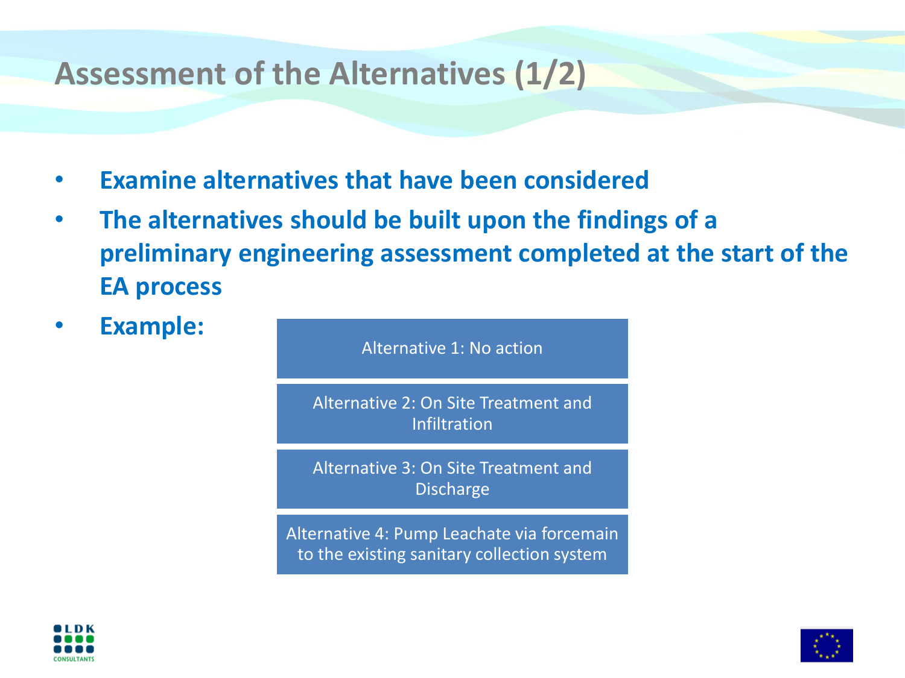### **Assessment of the Alternatives (1/2)**

- **Examine alternatives that have been considered**
- **The alternatives should be built upon the findings of a preliminary engineering assessment completed at the start of the EA process**
- **Example:**

Alternative 1: No action

Alternative 2: On Site Treatment and Infiltration

Alternative 3: On Site Treatment and Discharge

Alternative 4: Pump Leachate via forcemain to the existing sanitary collection system



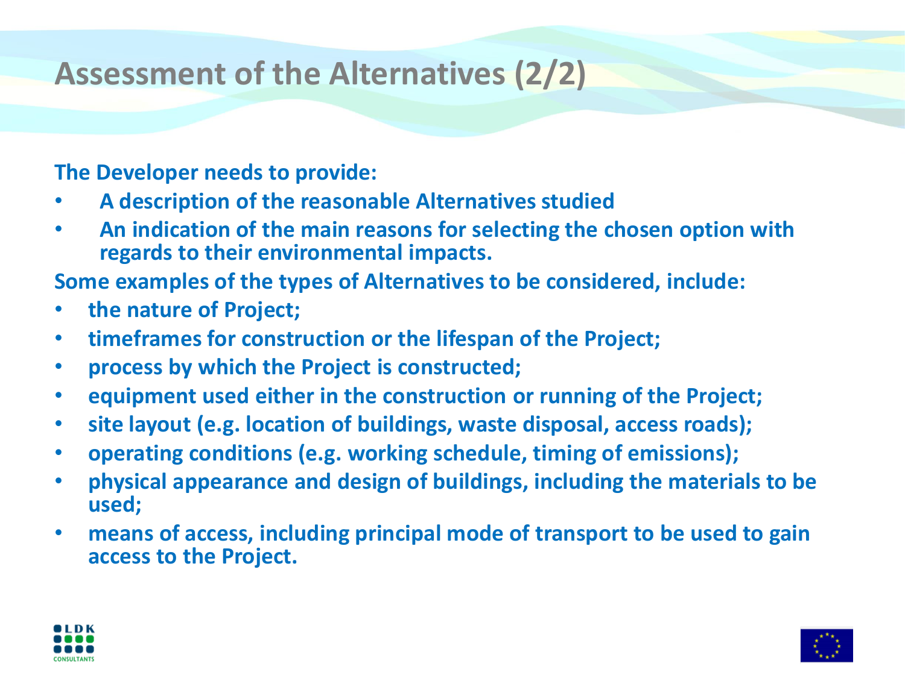## **Assessment of the Alternatives (2/2)**

#### **The Developer needs to provide:**

- **A description of the reasonable Alternatives studied**
- **An indication of the main reasons for selecting the chosen option with regards to their environmental impacts.**

**Some examples of the types of Alternatives to be considered, include:**

- **the nature of Project;**
- **timeframes for construction or the lifespan of the Project;**
- **process by which the Project is constructed;**
- **equipment used either in the construction or running of the Project;**
- **site layout (e.g. location of buildings, waste disposal, access roads);**
- **operating conditions (e.g. working schedule, timing of emissions);**
- **physical appearance and design of buildings, including the materials to be used;**
- **means of access, including principal mode of transport to be used to gain access to the Project.**



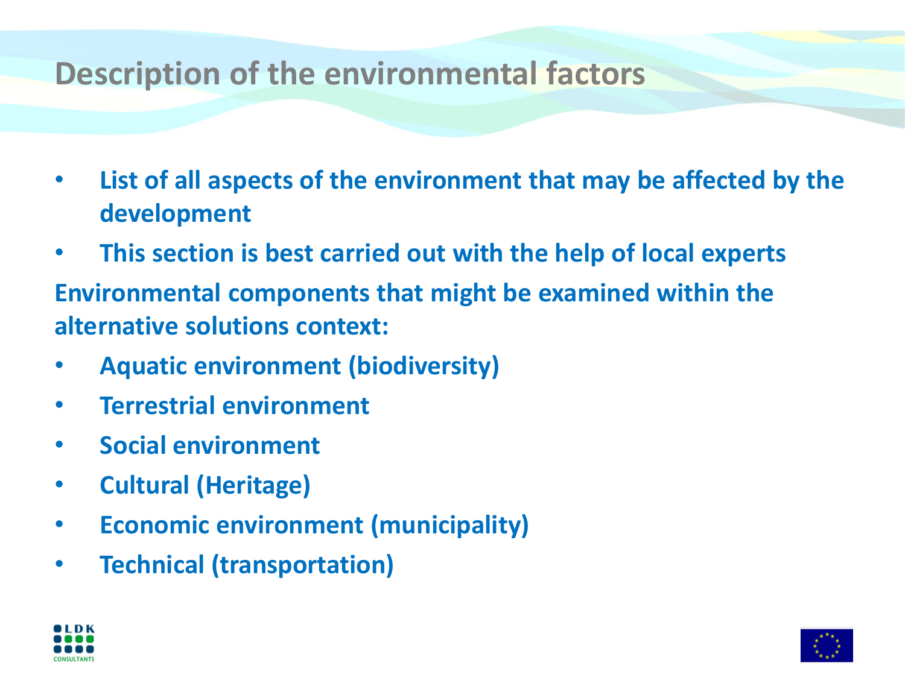### **Description of the environmental factors**

- **List of all aspects of the environment that may be affected by the development**
- **This section is best carried out with the help of local experts**
- **Environmental components that might be examined within the alternative solutions context:**
- **Aquatic environment (biodiversity)**
- **Terrestrial environment**
- **Social environment**
- **Cultural (Heritage)**
- **Economic environment (municipality)**
- **Technical (transportation)**



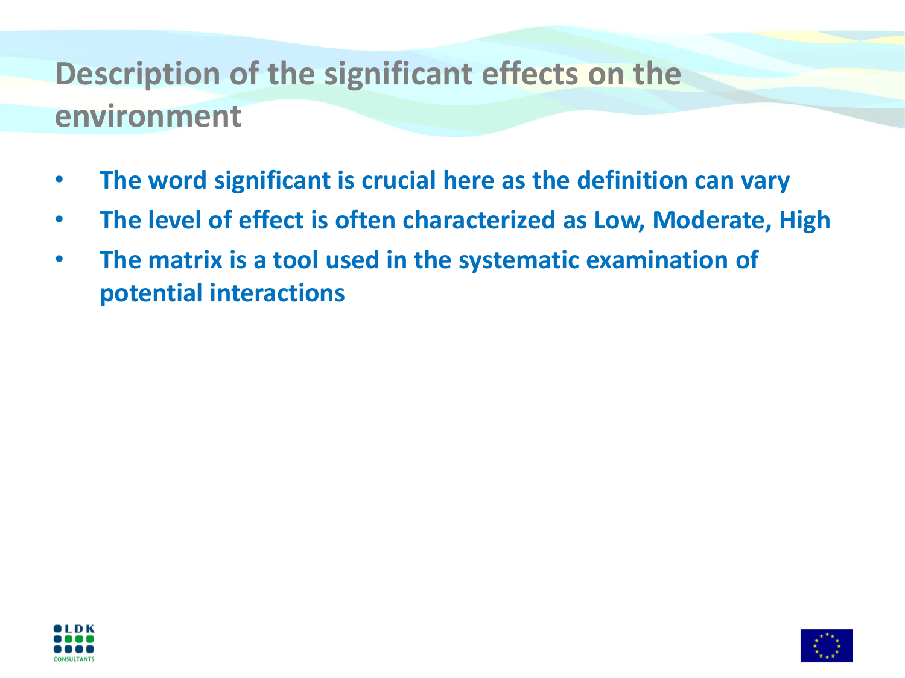# **Description of the significant effects on the environment**

- **The word significant is crucial here as the definition can vary**
- **The level of effect is often characterized as Low, Moderate, High**
- **The matrix is a tool used in the systematic examination of potential interactions**



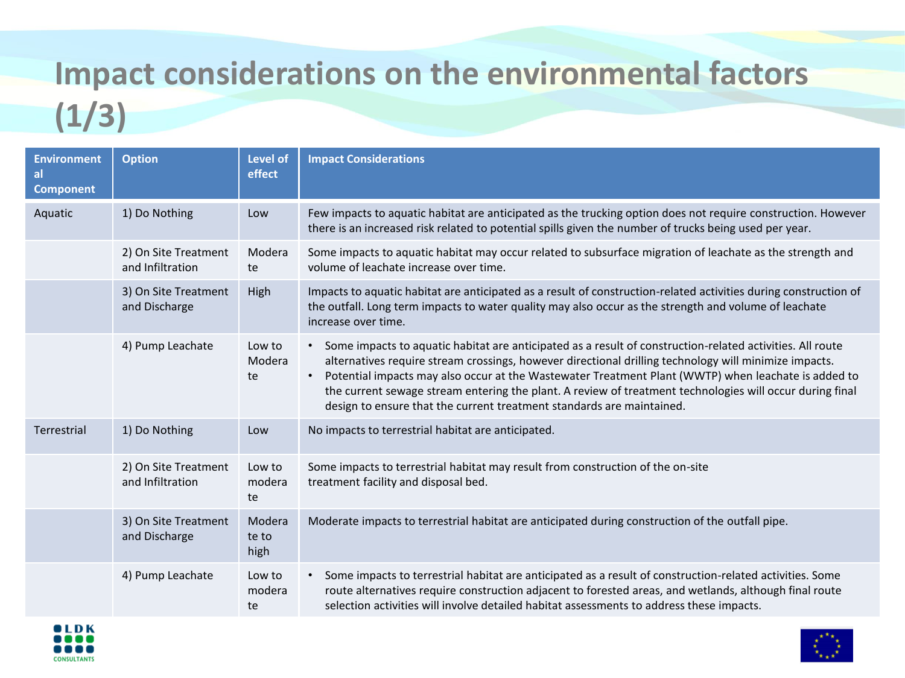# **Impact considerations on the environmental factors**

# **(1/3)**

| <b>Environment</b><br>al<br><b>Component</b> | <b>Option</b>                            | <b>Level of</b><br>effect | <b>Impact Considerations</b>                                                                                                                                                                                                                                                                                                                                                                                                                                                                                     |  |
|----------------------------------------------|------------------------------------------|---------------------------|------------------------------------------------------------------------------------------------------------------------------------------------------------------------------------------------------------------------------------------------------------------------------------------------------------------------------------------------------------------------------------------------------------------------------------------------------------------------------------------------------------------|--|
| Aquatic                                      | 1) Do Nothing                            | Low                       | Few impacts to aquatic habitat are anticipated as the trucking option does not require construction. However<br>there is an increased risk related to potential spills given the number of trucks being used per year.                                                                                                                                                                                                                                                                                           |  |
|                                              | 2) On Site Treatment<br>and Infiltration | Modera<br>te              | Some impacts to aquatic habitat may occur related to subsurface migration of leachate as the strength and<br>volume of leachate increase over time.                                                                                                                                                                                                                                                                                                                                                              |  |
|                                              | 3) On Site Treatment<br>and Discharge    | High                      | Impacts to aquatic habitat are anticipated as a result of construction-related activities during construction of<br>the outfall. Long term impacts to water quality may also occur as the strength and volume of leachate<br>increase over time.                                                                                                                                                                                                                                                                 |  |
|                                              | 4) Pump Leachate                         | Low to<br>Modera<br>te    | • Some impacts to aquatic habitat are anticipated as a result of construction-related activities. All route<br>alternatives require stream crossings, however directional drilling technology will minimize impacts.<br>Potential impacts may also occur at the Wastewater Treatment Plant (WWTP) when leachate is added to<br>the current sewage stream entering the plant. A review of treatment technologies will occur during final<br>design to ensure that the current treatment standards are maintained. |  |
| Terrestrial                                  | 1) Do Nothing                            | Low                       | No impacts to terrestrial habitat are anticipated.                                                                                                                                                                                                                                                                                                                                                                                                                                                               |  |
|                                              | 2) On Site Treatment<br>and Infiltration | Low to<br>modera<br>te    | Some impacts to terrestrial habitat may result from construction of the on-site<br>treatment facility and disposal bed.                                                                                                                                                                                                                                                                                                                                                                                          |  |
|                                              | 3) On Site Treatment<br>and Discharge    | Modera<br>te to<br>high   | Moderate impacts to terrestrial habitat are anticipated during construction of the outfall pipe.                                                                                                                                                                                                                                                                                                                                                                                                                 |  |
|                                              | 4) Pump Leachate                         | Low to<br>modera<br>te    | Some impacts to terrestrial habitat are anticipated as a result of construction-related activities. Some<br>route alternatives require construction adjacent to forested areas, and wetlands, although final route<br>selection activities will involve detailed habitat assessments to address these impacts.                                                                                                                                                                                                   |  |

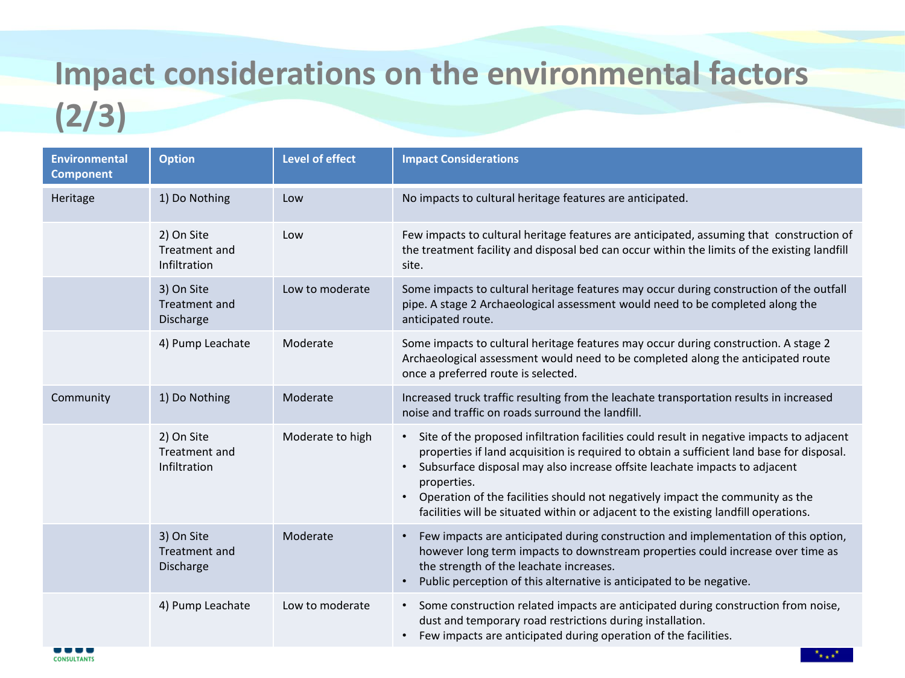# **Impact considerations on the environmental factors**

# **(2/3)**

| <b>Environmental</b><br><b>Component</b> | <b>Option</b>                               | <b>Level of effect</b> | <b>Impact Considerations</b>                                                                                                                                                                                                                                                                                                                                                                                                                                                            |
|------------------------------------------|---------------------------------------------|------------------------|-----------------------------------------------------------------------------------------------------------------------------------------------------------------------------------------------------------------------------------------------------------------------------------------------------------------------------------------------------------------------------------------------------------------------------------------------------------------------------------------|
| Heritage                                 | 1) Do Nothing                               | Low                    | No impacts to cultural heritage features are anticipated.                                                                                                                                                                                                                                                                                                                                                                                                                               |
|                                          | 2) On Site<br>Treatment and<br>Infiltration | Low                    | Few impacts to cultural heritage features are anticipated, assuming that construction of<br>the treatment facility and disposal bed can occur within the limits of the existing landfill<br>site.                                                                                                                                                                                                                                                                                       |
|                                          | 3) On Site<br>Treatment and<br>Discharge    | Low to moderate        | Some impacts to cultural heritage features may occur during construction of the outfall<br>pipe. A stage 2 Archaeological assessment would need to be completed along the<br>anticipated route.                                                                                                                                                                                                                                                                                         |
|                                          | 4) Pump Leachate                            | Moderate               | Some impacts to cultural heritage features may occur during construction. A stage 2<br>Archaeological assessment would need to be completed along the anticipated route<br>once a preferred route is selected.                                                                                                                                                                                                                                                                          |
| Community                                | 1) Do Nothing                               | Moderate               | Increased truck traffic resulting from the leachate transportation results in increased<br>noise and traffic on roads surround the landfill.                                                                                                                                                                                                                                                                                                                                            |
|                                          | 2) On Site<br>Treatment and<br>Infiltration | Moderate to high       | • Site of the proposed infiltration facilities could result in negative impacts to adjacent<br>properties if land acquisition is required to obtain a sufficient land base for disposal.<br>Subsurface disposal may also increase offsite leachate impacts to adjacent<br>$\bullet$<br>properties.<br>Operation of the facilities should not negatively impact the community as the<br>$\bullet$<br>facilities will be situated within or adjacent to the existing landfill operations. |
|                                          | 3) On Site<br>Treatment and<br>Discharge    | Moderate               | Few impacts are anticipated during construction and implementation of this option,<br>however long term impacts to downstream properties could increase over time as<br>the strength of the leachate increases.<br>Public perception of this alternative is anticipated to be negative.<br>$\bullet$                                                                                                                                                                                    |
|                                          | 4) Pump Leachate                            | Low to moderate        | • Some construction related impacts are anticipated during construction from noise,<br>dust and temporary road restrictions during installation.<br>Few impacts are anticipated during operation of the facilities.<br>$\bullet$                                                                                                                                                                                                                                                        |

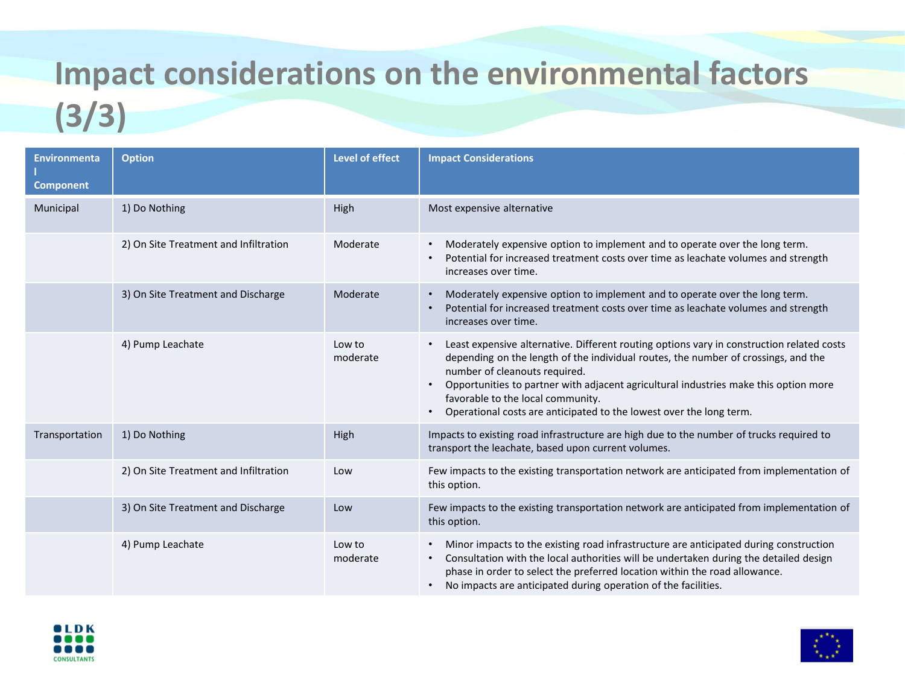# **Impact considerations on the environmental factors**

## **(3/3)**

| <b>Environmenta</b><br><b>Component</b> | <b>Option</b>                         | <b>Level of effect</b> | <b>Impact Considerations</b>                                                                                                                                                                                                                                                                                                                                                                                                      |  |
|-----------------------------------------|---------------------------------------|------------------------|-----------------------------------------------------------------------------------------------------------------------------------------------------------------------------------------------------------------------------------------------------------------------------------------------------------------------------------------------------------------------------------------------------------------------------------|--|
| Municipal                               | 1) Do Nothing                         | High                   | Most expensive alternative                                                                                                                                                                                                                                                                                                                                                                                                        |  |
|                                         | 2) On Site Treatment and Infiltration | Moderate               | Moderately expensive option to implement and to operate over the long term.<br>$\bullet$<br>Potential for increased treatment costs over time as leachate volumes and strength<br>$\bullet$<br>increases over time.                                                                                                                                                                                                               |  |
|                                         | 3) On Site Treatment and Discharge    | Moderate               | Moderately expensive option to implement and to operate over the long term.<br>$\bullet$<br>Potential for increased treatment costs over time as leachate volumes and strength<br>$\bullet$<br>increases over time.                                                                                                                                                                                                               |  |
|                                         | 4) Pump Leachate                      | Low to<br>moderate     | Least expensive alternative. Different routing options vary in construction related costs<br>depending on the length of the individual routes, the number of crossings, and the<br>number of cleanouts required.<br>Opportunities to partner with adjacent agricultural industries make this option more<br>$\bullet$<br>favorable to the local community.<br>Operational costs are anticipated to the lowest over the long term. |  |
| Transportation                          | 1) Do Nothing                         | High                   | Impacts to existing road infrastructure are high due to the number of trucks required to<br>transport the leachate, based upon current volumes.                                                                                                                                                                                                                                                                                   |  |
|                                         | 2) On Site Treatment and Infiltration | Low                    | Few impacts to the existing transportation network are anticipated from implementation of<br>this option.                                                                                                                                                                                                                                                                                                                         |  |
|                                         | 3) On Site Treatment and Discharge    | Low                    | Few impacts to the existing transportation network are anticipated from implementation of<br>this option.                                                                                                                                                                                                                                                                                                                         |  |
|                                         | 4) Pump Leachate                      | Low to<br>moderate     | Minor impacts to the existing road infrastructure are anticipated during construction<br>$\bullet$<br>Consultation with the local authorities will be undertaken during the detailed design<br>$\bullet$<br>phase in order to select the preferred location within the road allowance.<br>No impacts are anticipated during operation of the facilities.<br>$\bullet$                                                             |  |



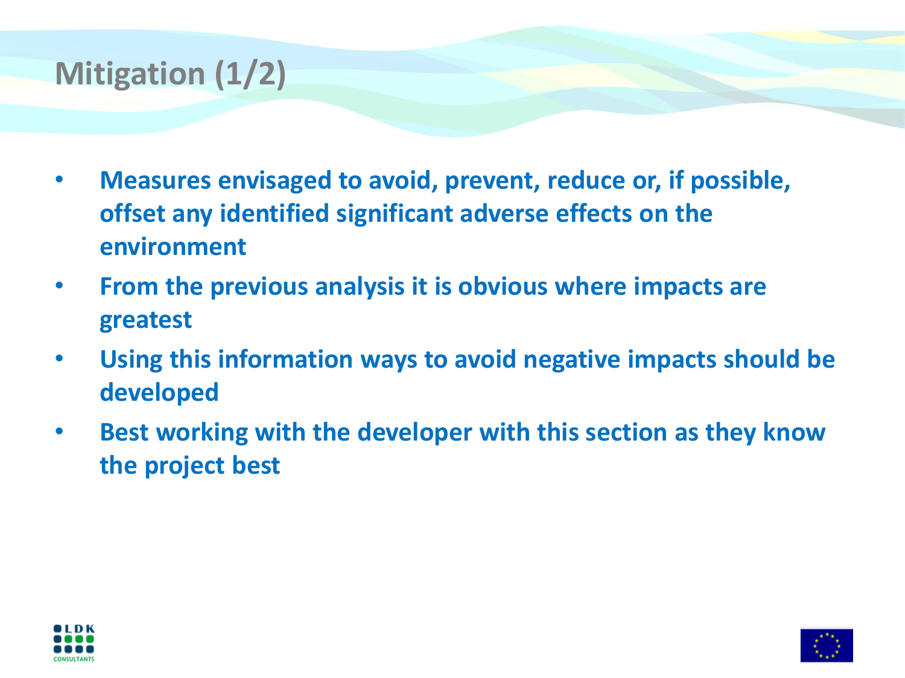## **Mitigation (1/2)**

- **Measures envisaged to avoid, prevent, reduce or, if possible, offset any identified significant adverse effects on the environment**
- **From the previous analysis it is obvious where impacts are greatest**
- **Using this information ways to avoid negative impacts should be developed**
- **Best working with the developer with this section as they know the project best**



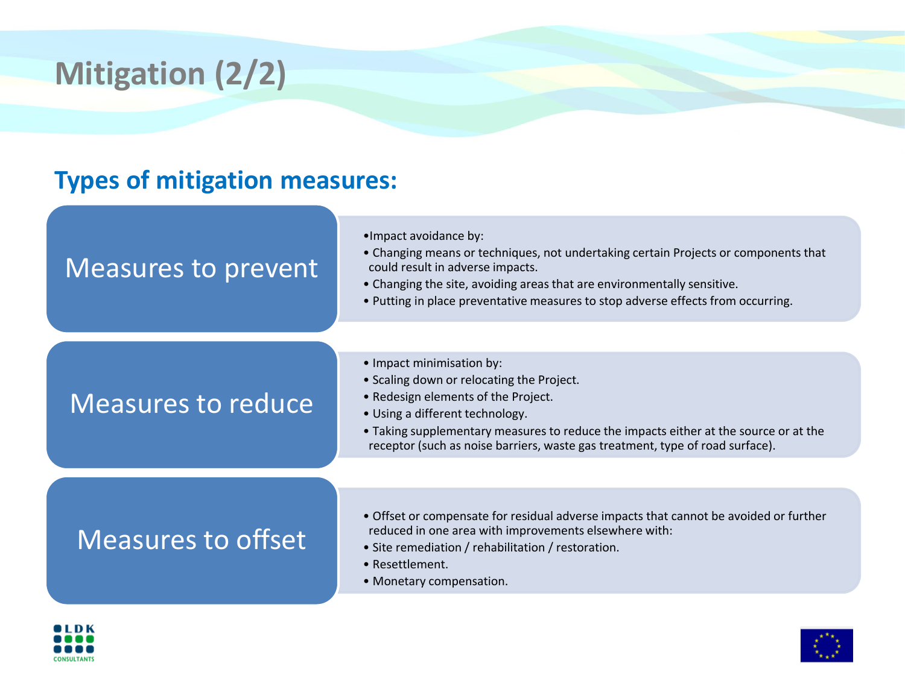# **Mitigation (2/2)**

#### **Types of mitigation measures:**

| <b>Measures to prevent</b> |  |
|----------------------------|--|
|----------------------------|--|

- •Impact avoidance by:
- Changing means or techniques, not undertaking certain Projects or components that could result in adverse impacts.
- Changing the site, avoiding areas that are environmentally sensitive.
- Putting in place preventative measures to stop adverse effects from occurring.

#### Measures to reduce

- Impact minimisation by:
- Scaling down or relocating the Project.
- Redesign elements of the Project.
- Using a different technology.
- Taking supplementary measures to reduce the impacts either at the source or at the receptor (such as noise barriers, waste gas treatment, type of road surface).

### Measures to offset

- Offset or compensate for residual adverse impacts that cannot be avoided or further reduced in one area with improvements elsewhere with:
- Site remediation / rehabilitation / restoration.
- Resettlement.
- Monetary compensation.



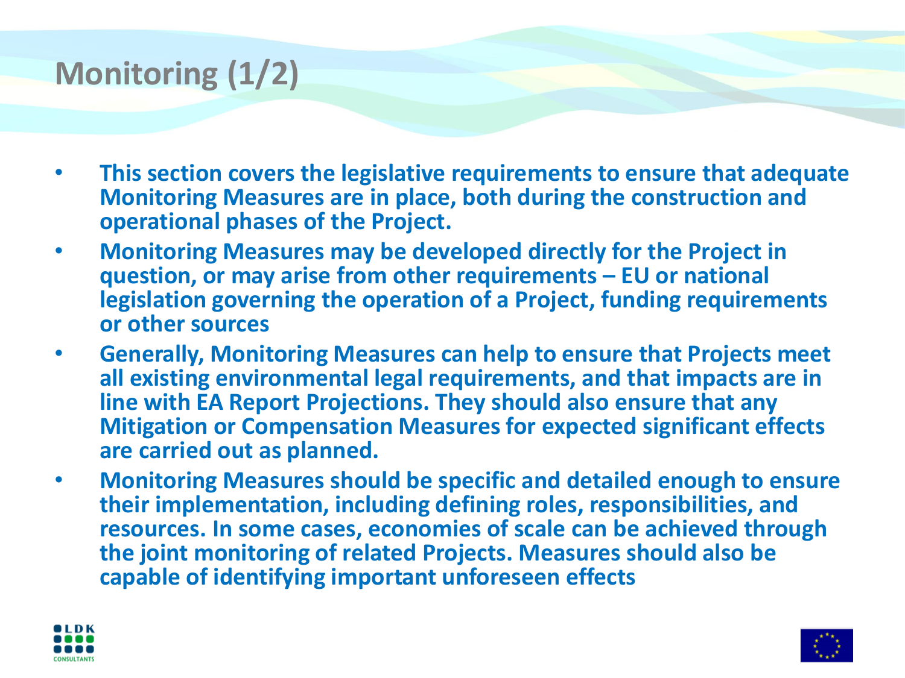## **Monitoring (1/2)**

- **This section covers the legislative requirements to ensure that adequate Monitoring Measures are in place, both during the construction and operational phases of the Project.**
- **Monitoring Measures may be developed directly for the Project in question, or may arise from other requirements – EU or national legislation governing the operation of a Project, funding requirements or other sources**
- **Generally, Monitoring Measures can help to ensure that Projects meet all existing environmental legal requirements, and that impacts are in line with EA Report Projections. They should also ensure that any Mitigation or Compensation Measures for expected significant effects are carried out as planned.**
- **Monitoring Measures should be specific and detailed enough to ensure their implementation, including defining roles, responsibilities, and resources. In some cases, economies of scale can be achieved through the joint monitoring of related Projects. Measures should also be capable of identifying important unforeseen effects**



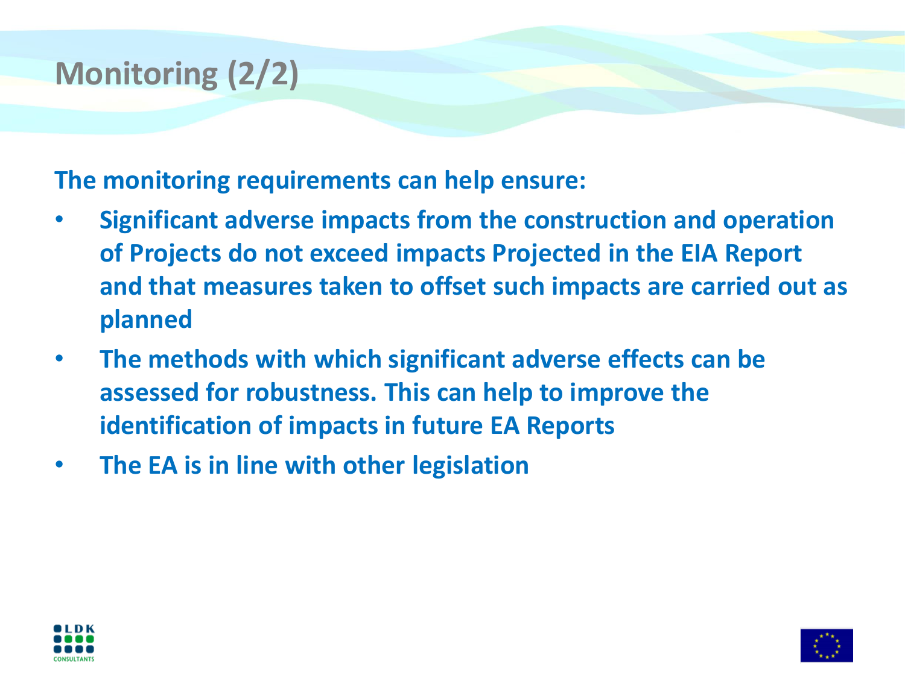# **Monitoring (2/2)**

**The monitoring requirements can help ensure:**

- **Significant adverse impacts from the construction and operation of Projects do not exceed impacts Projected in the EIA Report and that measures taken to offset such impacts are carried out as planned**
- **The methods with which significant adverse effects can be assessed for robustness. This can help to improve the identification of impacts in future EA Reports**
- **The EA is in line with other legislation**



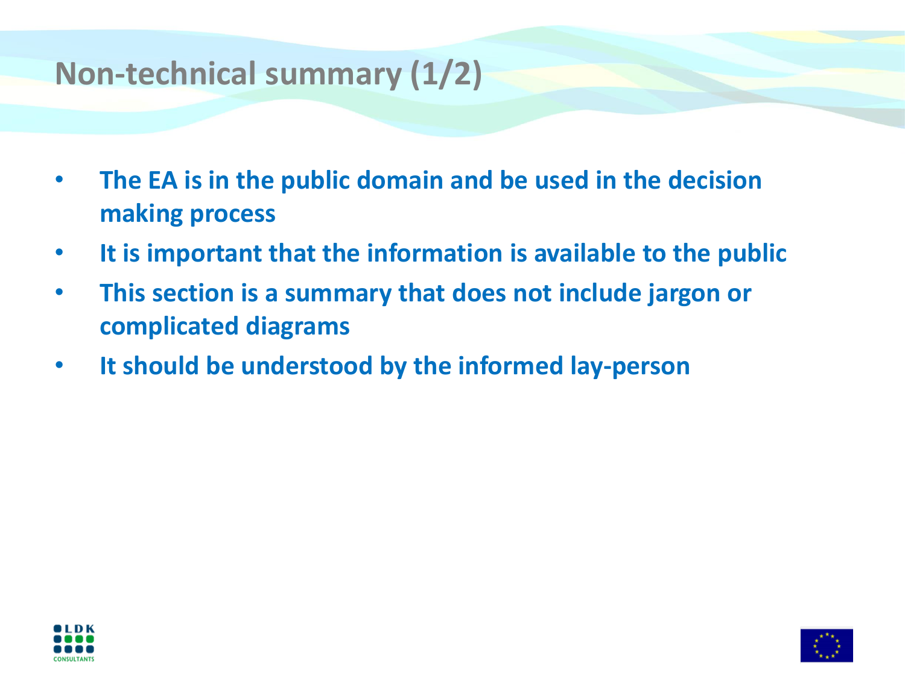## **Non-technical summary (1/2)**

- **The EA is in the public domain and be used in the decision making process**
- **It is important that the information is available to the public**
- **This section is a summary that does not include jargon or complicated diagrams**
- **It should be understood by the informed lay-person**



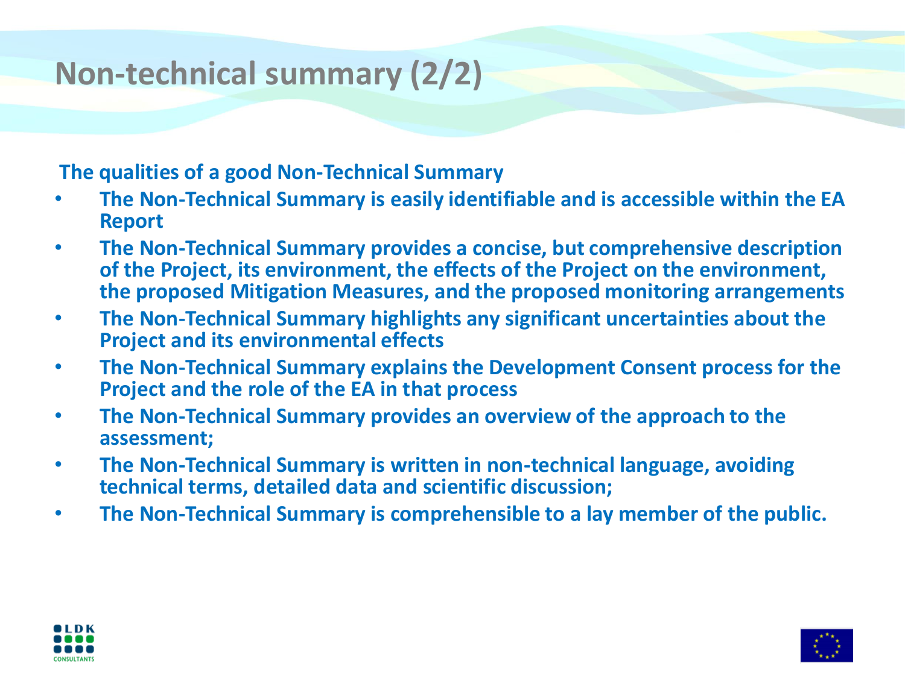## **Non-technical summary (2/2)**

#### **The qualities of a good Non-Technical Summary**

- **The Non-Technical Summary is easily identifiable and is accessible within the EA Report**
- **The Non-Technical Summary provides a concise, but comprehensive description of the Project, its environment, the effects of the Project on the environment, the proposed Mitigation Measures, and the proposed monitoring arrangements**
- **The Non-Technical Summary highlights any significant uncertainties about the Project and its environmental effects**
- **The Non-Technical Summary explains the Development Consent process for the Project and the role of the EA in that process**
- **The Non-Technical Summary provides an overview of the approach to the assessment;**
- **The Non-Technical Summary is written in non-technical language, avoiding technical terms, detailed data and scientific discussion;**
- **The Non-Technical Summary is comprehensible to a lay member of the public.**



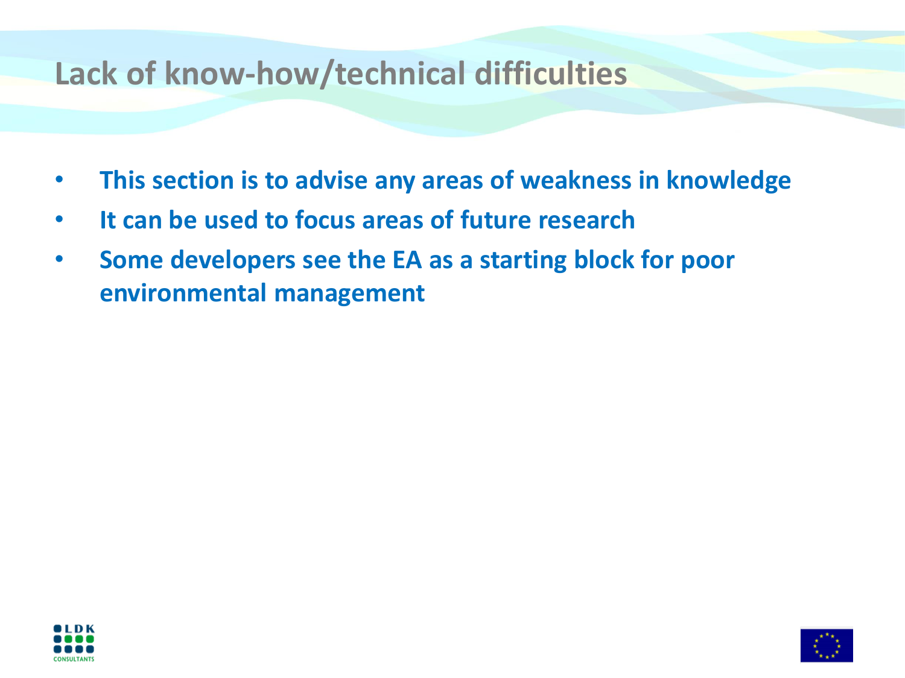### **Lack of know-how/technical difficulties**

- **This section is to advise any areas of weakness in knowledge**
- **It can be used to focus areas of future research**
- **Some developers see the EA as a starting block for poor environmental management**



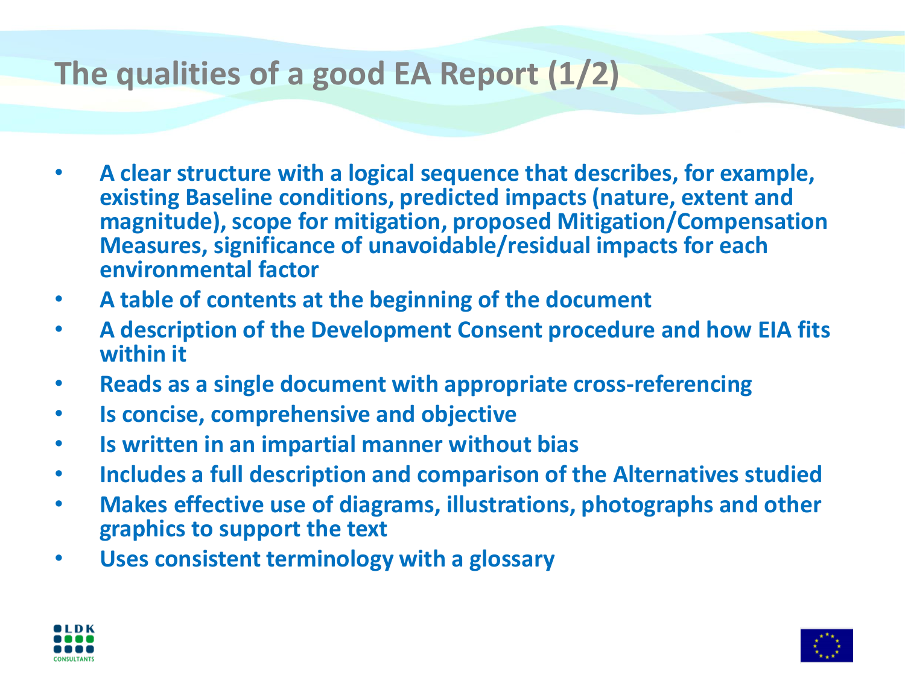## **The qualities of a good EA Report (1/2)**

- **A clear structure with a logical sequence that describes, for example, existing Baseline conditions, predicted impacts (nature, extent and magnitude), scope for mitigation, proposed Mitigation/Compensation Measures, significance of unavoidable/residual impacts for each environmental factor**
- **A table of contents at the beginning of the document**
- **A description of the Development Consent procedure and how EIA fits within it**
- **Reads as a single document with appropriate cross-referencing**
- **Is concise, comprehensive and objective**
- **Is written in an impartial manner without bias**
- **Includes a full description and comparison of the Alternatives studied**
- **Makes effective use of diagrams, illustrations, photographs and other graphics to support the text**
- **Uses consistent terminology with a glossary**



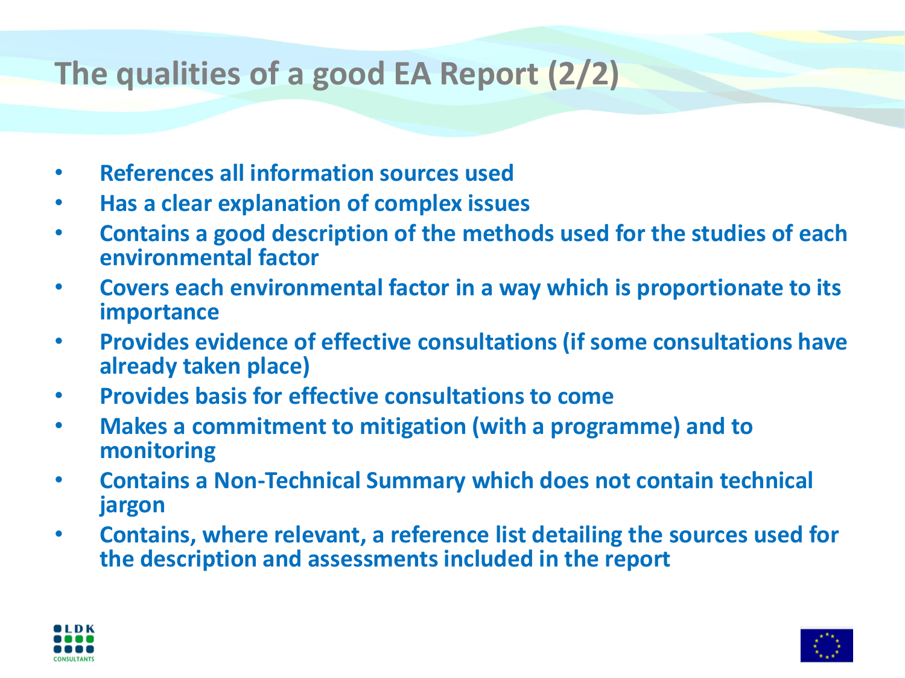## **The qualities of a good EA Report (2/2)**

- **References all information sources used**
- **Has a clear explanation of complex issues**
- **Contains a good description of the methods used for the studies of each environmental factor**
- **Covers each environmental factor in a way which is proportionate to its importance**
- **Provides evidence of effective consultations (if some consultations have already taken place)**
- **Provides basis for effective consultations to come**
- **Makes a commitment to mitigation (with a programme) and to monitoring**
- **Contains a Non-Technical Summary which does not contain technical jargon**
- **Contains, where relevant, a reference list detailing the sources used for the description and assessments included in the report**



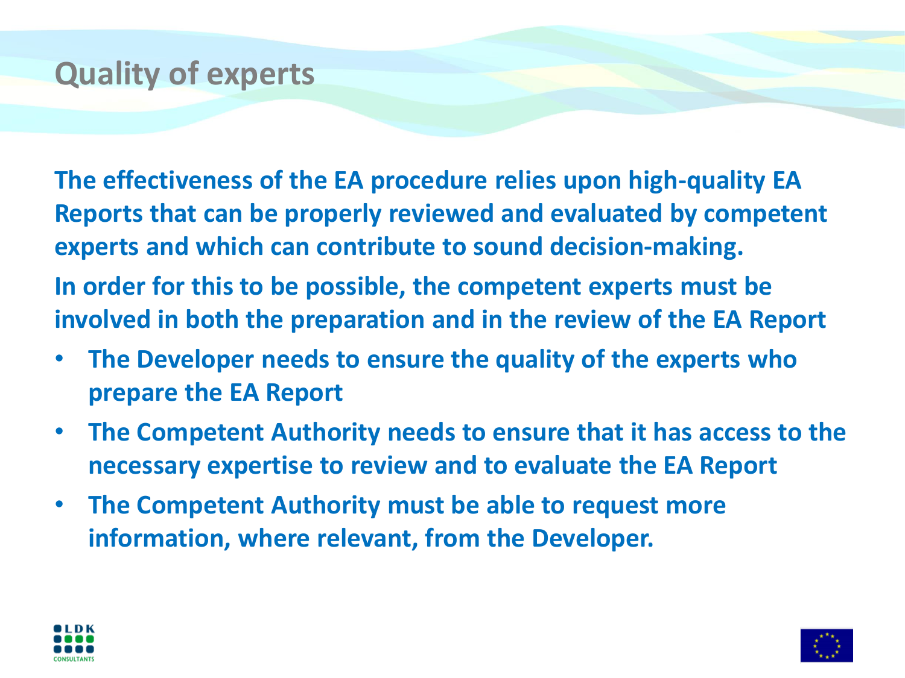### **Quality of experts**

**The effectiveness of the EA procedure relies upon high-quality EA Reports that can be properly reviewed and evaluated by competent experts and which can contribute to sound decision-making. In order for this to be possible, the competent experts must be involved in both the preparation and in the review of the EA Report**

- **The Developer needs to ensure the quality of the experts who prepare the EA Report**
- **The Competent Authority needs to ensure that it has access to the necessary expertise to review and to evaluate the EA Report**
- **The Competent Authority must be able to request more information, where relevant, from the Developer.**



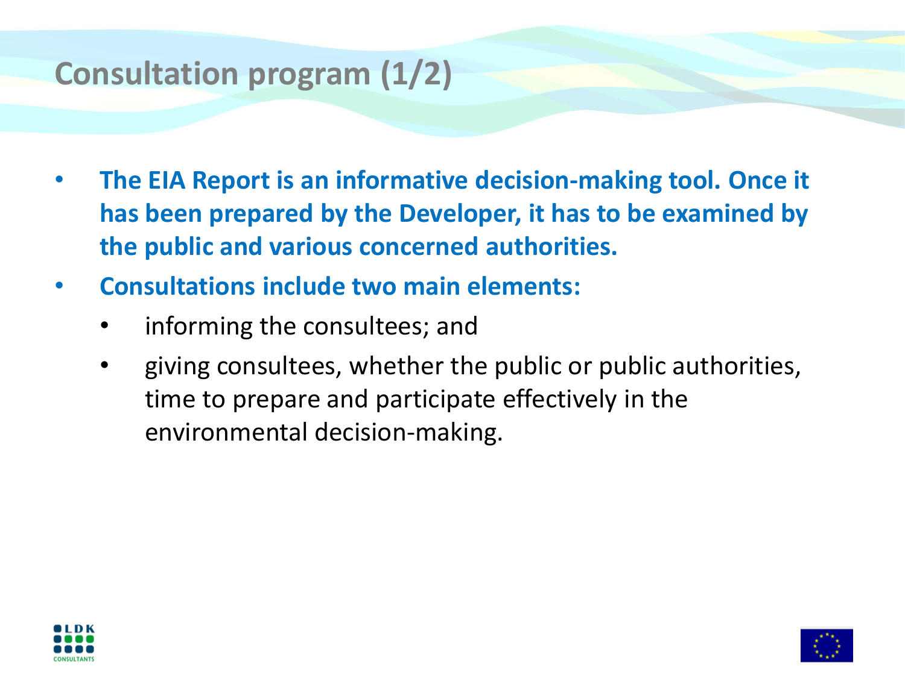## **Consultation program (1/2)**

- **The EIA Report is an informative decision-making tool. Once it has been prepared by the Developer, it has to be examined by the public and various concerned authorities.**
- **Consultations include two main elements:**
	- informing the consultees; and
	- giving consultees, whether the public or public authorities, time to prepare and participate effectively in the environmental decision-making.



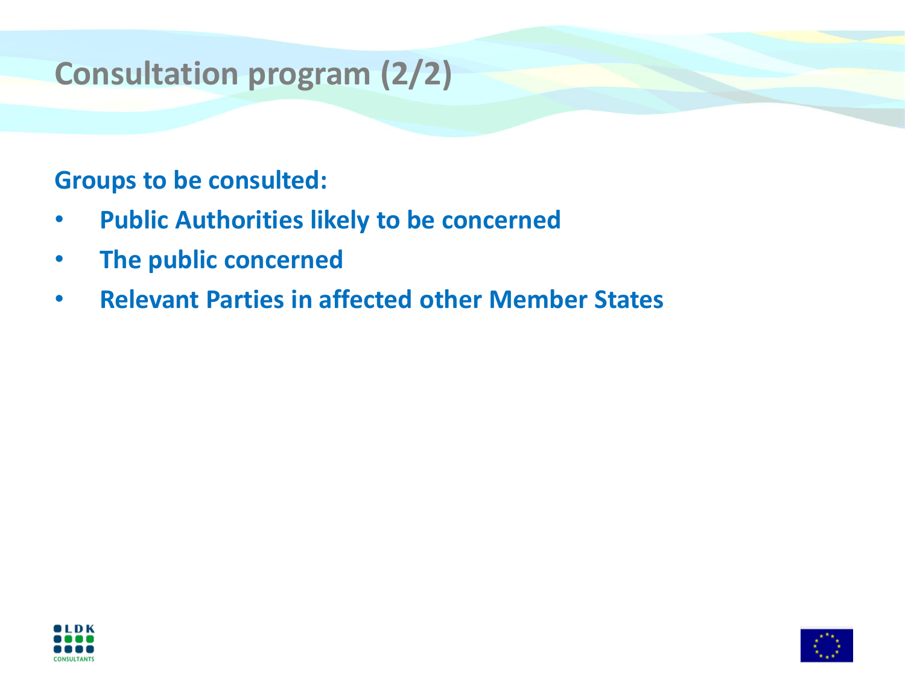# **Consultation program (2/2)**

#### **Groups to be consulted:**

- **Public Authorities likely to be concerned**
- **The public concerned**
- **Relevant Parties in affected other Member States**



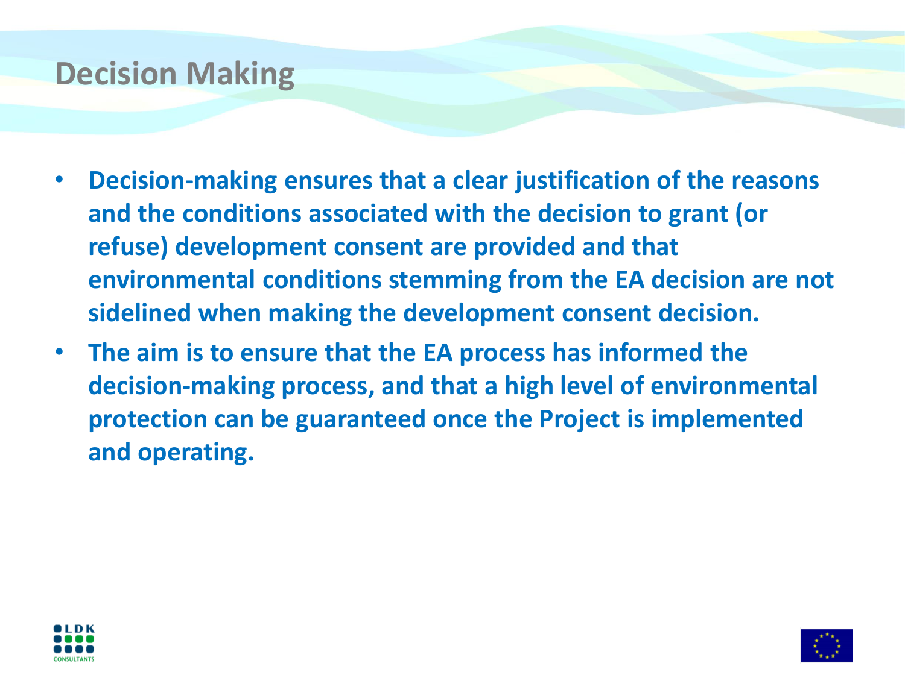### **Decision Making**

- **Decision-making ensures that a clear justification of the reasons and the conditions associated with the decision to grant (or refuse) development consent are provided and that environmental conditions stemming from the EA decision are not sidelined when making the development consent decision.**
- **The aim is to ensure that the EA process has informed the decision-making process, and that a high level of environmental protection can be guaranteed once the Project is implemented and operating.**